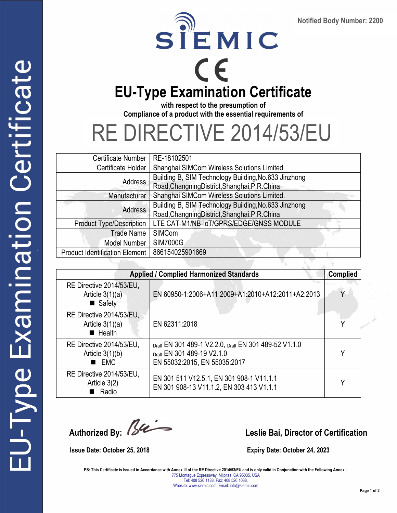



**with respect to the presumption of Compliance of a product with the essential requirements of** 

## RE DIRECTIVE 2014/53/EU

| RE-18102501                                          |
|------------------------------------------------------|
| Shanghai SIMCom Wireless Solutions Limited.          |
| Building B, SIM Technology Building, No.633 Jinzhong |
| Road, Changning District, Shanghai, P.R. China       |
| Shanghai SIMCom Wireless Solutions Limited.          |
| Building B, SIM Technology Building, No.633 Jinzhong |
| Road, Changning District, Shanghai, P.R. China       |
| LTE CAT-M1/NB-IoT/GPRS/EDGE/GNSS MODULE              |
| SIMCom                                               |
| <b>SIM7000G</b>                                      |
| 866154025901669                                      |
|                                                      |

| <b>Applied / Complied Harmonized Standards</b><br><b>Complied</b>      |                                                                                                                     |   |  |
|------------------------------------------------------------------------|---------------------------------------------------------------------------------------------------------------------|---|--|
| RE Directive 2014/53/EU,<br>Article $3(1)(a)$<br>$\blacksquare$ Safety | EN 60950-1:2006+A11:2009+A1:2010+A12:2011+A2:2013                                                                   | Υ |  |
| RE Directive 2014/53/EU,<br>Article $3(1)(a)$<br>$\blacksquare$ Health | EN 62311:2018                                                                                                       |   |  |
| RE Directive 2014/53/EU.<br>Article $3(1)(b)$<br><b>EMC</b>            | Draft EN 301 489-1 V2.2.0, Draft EN 301 489-52 V1.1.0<br>Draft EN 301 489-19 V2.1.0<br>EN 55032:2015, EN 55035:2017 | Υ |  |
| RE Directive 2014/53/EU,<br>Article $3(2)$<br>Radio                    | EN 301 511 V12.5.1, EN 301 908-1 V11.1.1<br>EN 301 908-13 V11.1.2, EN 303 413 V1.1.1                                | v |  |

**Leslie Bai, Director of Certification** 

 **Issue Date: October 25, 2018 Expiry Date: October 24, 2023** 

PS: This Certificate is Issued in Accordance with Annex III of the RE Directive 2014/53/EU and is only valid in Conjunction with the Following Annex I. 775 Montague Expressway, Milpitas, CA 95035, USA Tel: 408 526 1188, Fax: 408 526 1088, Website: www.siemic.com, Email: info@siemic.com

SCS-F196: CE RE Directive Page 1 of 3 Rev 6.0